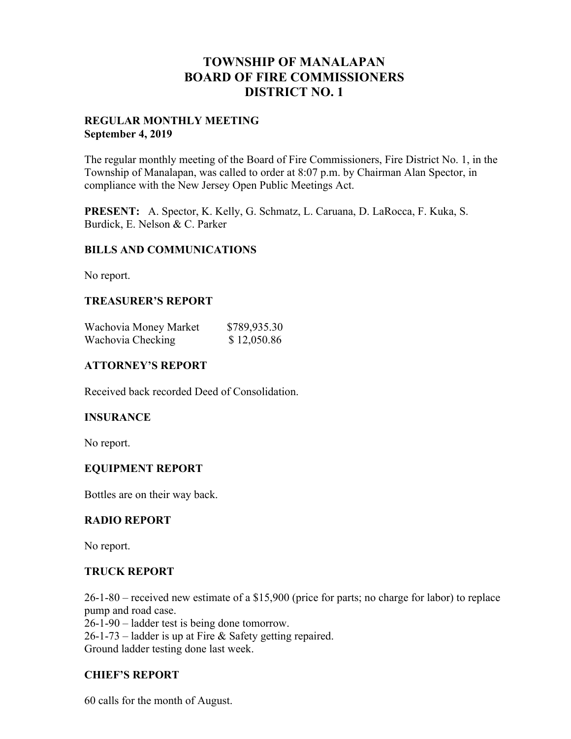## **TOWNSHIP OF MANALAPAN BOARD OF FIRE COMMISSIONERS DISTRICT NO. 1**

#### **REGULAR MONTHLY MEETING September 4, 2019**

The regular monthly meeting of the Board of Fire Commissioners, Fire District No. 1, in the Township of Manalapan, was called to order at 8:07 p.m. by Chairman Alan Spector, in compliance with the New Jersey Open Public Meetings Act.

**PRESENT:** A. Spector, K. Kelly, G. Schmatz, L. Caruana, D. LaRocca, F. Kuka, S. Burdick, E. Nelson & C. Parker

#### **BILLS AND COMMUNICATIONS**

No report.

## **TREASURER'S REPORT**

| Wachovia Money Market | \$789,935.30 |
|-----------------------|--------------|
| Wachovia Checking     | \$12,050.86  |

#### **ATTORNEY'S REPORT**

Received back recorded Deed of Consolidation.

#### **INSURANCE**

No report.

#### **EQUIPMENT REPORT**

Bottles are on their way back.

#### **RADIO REPORT**

No report.

#### **TRUCK REPORT**

26-1-80 – received new estimate of a \$15,900 (price for parts; no charge for labor) to replace pump and road case.

26-1-90 – ladder test is being done tomorrow. 26-1-73 – ladder is up at Fire & Safety getting repaired. Ground ladder testing done last week.

## **CHIEF'S REPORT**

60 calls for the month of August.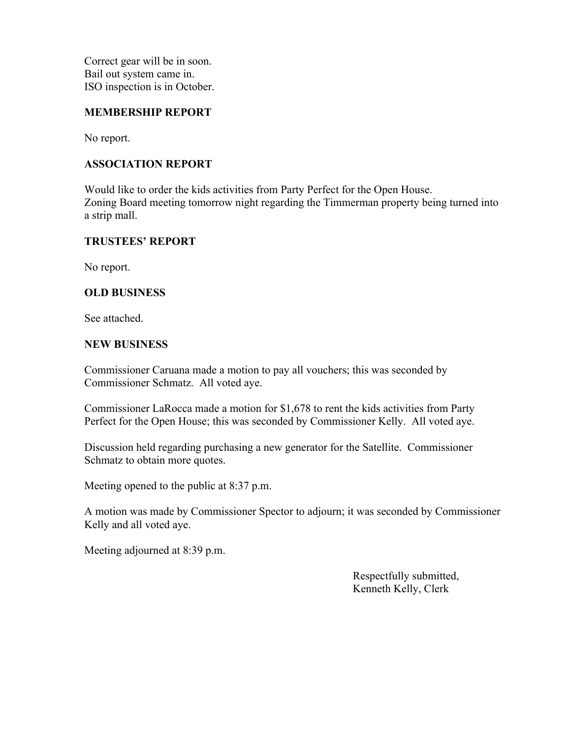Correct gear will be in soon. Bail out system came in. ISO inspection is in October.

#### **MEMBERSHIP REPORT**

No report.

## **ASSOCIATION REPORT**

Would like to order the kids activities from Party Perfect for the Open House. Zoning Board meeting tomorrow night regarding the Timmerman property being turned into a strip mall.

## **TRUSTEES' REPORT**

No report.

#### **OLD BUSINESS**

See attached.

#### **NEW BUSINESS**

Commissioner Caruana made a motion to pay all vouchers; this was seconded by Commissioner Schmatz. All voted aye.

Commissioner LaRocca made a motion for \$1,678 to rent the kids activities from Party Perfect for the Open House; this was seconded by Commissioner Kelly. All voted aye.

Discussion held regarding purchasing a new generator for the Satellite. Commissioner Schmatz to obtain more quotes.

Meeting opened to the public at 8:37 p.m.

A motion was made by Commissioner Spector to adjourn; it was seconded by Commissioner Kelly and all voted aye.

Meeting adjourned at 8:39 p.m.

 Respectfully submitted, Kenneth Kelly, Clerk